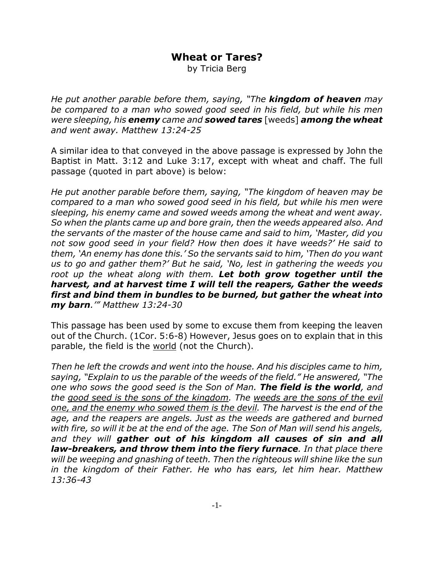## **Wheat or Tares?**

by Tricia Berg

*He put another parable before them, saying, "The kingdom of heaven may be compared to a man who sowed good seed in his field, but while his men were sleeping, his enemy came and sowed tares* [weeds] *among the wheat and went away. Matthew 13:24-25*

A similar idea to that conveyed in the above passage is expressed by John the Baptist in Matt. 3:12 and Luke 3:17, except with wheat and chaff. The full passage (quoted in part above) is below:

*He put another parable before them, saying, "The kingdom of heaven may be compared to a man who sowed good seed in his field, but while his men were sleeping, his enemy came and sowed weeds among the wheat and went away. So when the plants came up and bore grain, then the weeds appeared also. And the servants of the master of the house came and said to him, 'Master, did you not sow good seed in your field? How then does it have weeds?' He said to them, 'An enemy has done this.' So the servants said to him, 'Then do you want us to go and gather them?' But he said, 'No, lest in gathering the weeds you root up the wheat along with them. Let both grow together until the harvest, and at harvest time I will tell the reapers, Gather the weeds first and bind them in bundles to be burned, but gather the wheat into my barn.'" Matthew 13:24-30*

This passage has been used by some to excuse them from keeping the leaven out of the Church. (1Cor. 5:6-8) However, Jesus goes on to explain that in this parable, the field is the world (not the Church).

*Then he left the crowds and went into the house. And his disciples came to him, saying, "Explain to us the parable of the weeds of the field." He answered, "The one who sows the good seed is the Son of Man. The field is the world, and the good seed is the sons of the kingdom. The weeds are the sons of the evil one, and the enemy who sowed them is the devil. The harvest is the end of the age, and the reapers are angels. Just as the weeds are gathered and burned with fire, so will it be at the end of the age. The Son of Man will send his angels, and they will gather out of his kingdom all causes of sin and all law-breakers, and throw them into the fiery furnace. In that place there will be weeping and gnashing of teeth. Then the righteous will shine like the sun in the kingdom of their Father. He who has ears, let him hear. Matthew 13:36-43*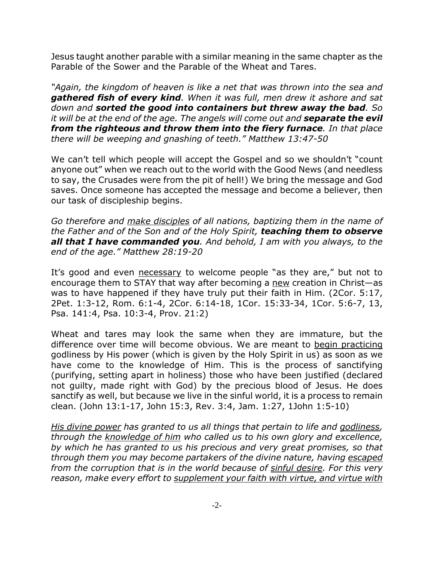Jesus taught another parable with a similar meaning in the same chapter as the Parable of the Sower and the Parable of the Wheat and Tares.

*"Again, the kingdom of heaven is like a net that was thrown into the sea and gathered fish of every kind. When it was full, men drew it ashore and sat down and sorted the good into containers but threw away the bad. So it will be at the end of the age. The angels will come out and <i>separate the evil from the righteous and throw them into the fiery furnace. In that place there will be weeping and gnashing of teeth." Matthew 13:47-50*

We can't tell which people will accept the Gospel and so we shouldn't "count anyone out" when we reach out to the world with the Good News (and needless to say, the Crusades were from the pit of hell!) We bring the message and God saves. Once someone has accepted the message and become a believer, then our task of discipleship begins.

*Go therefore and make disciples of all nations, baptizing them in the name of the Father and of the Son and of the Holy Spirit, teaching them to observe all that I have commanded you. And behold, I am with you always, to the end of the age." Matthew 28:19-20*

It's good and even necessary to welcome people "as they are," but not to encourage them to STAY that way after becoming a new creation in Christ—as was to have happened if they have truly put their faith in Him. (2Cor. 5:17, 2Pet. 1:3-12, Rom. 6:1-4, 2Cor. 6:14-18, 1Cor. 15:33-34, 1Cor. 5:6-7, 13, Psa. 141:4, Psa. 10:3-4, Prov. 21:2)

Wheat and tares may look the same when they are immature, but the difference over time will become obvious. We are meant to begin practicing godliness by His power (which is given by the Holy Spirit in us) as soon as we have come to the knowledge of Him. This is the process of sanctifying (purifying, setting apart in holiness) those who have been justified (declared not guilty, made right with God) by the precious blood of Jesus. He does sanctify as well, but because we live in the sinful world, it is a process to remain clean. (John 13:1-17, John 15:3, Rev. 3:4, Jam. 1:27, 1John 1:5-10)

*His divine power has granted to us all things that pertain to life and godliness, through the knowledge of him who called us to his own glory and excellence, by which he has granted to us his precious and very great promises, so that through them you may become partakers of the divine nature, having escaped from the corruption that is in the world because of sinful desire. For this very reason, make every effort to supplement your faith with virtue, and virtue with*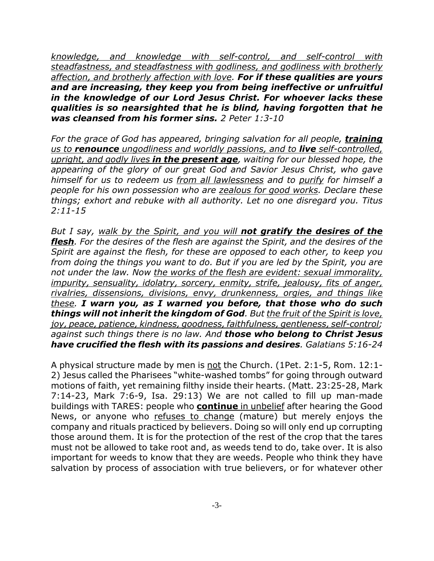*knowledge, and knowledge with self-control, and self-control with steadfastness, and steadfastness with godliness, and godliness with brotherly affection, and brotherly affection with love. For if these qualities are yours and are increasing, they keep you from being ineffective or unfruitful in the knowledge of our Lord Jesus Christ. For whoever lacks these qualities is so nearsighted that he is blind, having forgotten that he was cleansed from his former sins. 2 Peter 1:3-10*

*For the grace of God has appeared, bringing salvation for all people, training us to renounce ungodliness and worldly passions, and to live self-controlled, upright, and godly lives in the present age, waiting for our blessed hope, the appearing of the glory of our great God and Savior Jesus Christ, who gave himself for us to redeem us from all lawlessness and to purify for himself a people for his own possession who are zealous for good works. Declare these things; exhort and rebuke with all authority. Let no one disregard you. Titus 2:11-15*

*But I say, walk by the Spirit, and you will not gratify the desires of the flesh. For the desires of the flesh are against the Spirit, and the desires of the Spirit are against the flesh, for these are opposed to each other, to keep you from doing the things you want to do. But if you are led by the Spirit, you are not under the law. Now the works of the flesh are evident: sexual immorality, impurity, sensuality, idolatry, sorcery, enmity, strife, jealousy, fits of anger, rivalries, dissensions, divisions, envy, drunkenness, orgies, and things like these. I warn you, as I warned you before, that those who do such things will not inherit the kingdom of God. But the fruit of the Spirit is love, joy, peace, patience, kindness, goodness, faithfulness, gentleness, self-control; against such things there is no law. And those who belong to Christ Jesus have crucified the flesh with its passions and desires. Galatians 5:16-24*

A physical structure made by men is not the Church. (1Pet. 2:1-5, Rom. 12:1- 2) Jesus called the Pharisees "white-washed tombs" for going through outward motions of faith, yet remaining filthy inside their hearts. (Matt. 23:25-28, Mark 7:14-23, Mark 7:6-9, Isa. 29:13) We are not called to fill up man-made buildings with TARES: people who **continue** in unbelief after hearing the Good News, or anyone who refuses to change (mature) but merely enjoys the company and rituals practiced by believers. Doing so will only end up corrupting those around them. It is for the protection of the rest of the crop that the tares must not be allowed to take root and, as weeds tend to do, take over. It is also important for weeds to know that they are weeds. People who think they have salvation by process of association with true believers, or for whatever other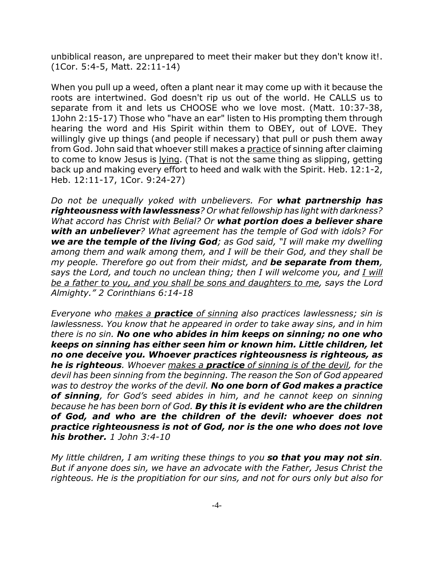unbiblical reason, are unprepared to meet their maker but they don't know it!. (1Cor. 5:4-5, Matt. 22:11-14)

When you pull up a weed, often a plant near it may come up with it because the roots are intertwined. God doesn't rip us out of the world. He CALLS us to separate from it and lets us CHOOSE who we love most. (Matt. 10:37-38, 1John 2:15-17) Those who "have an ear" listen to His prompting them through hearing the word and His Spirit within them to OBEY, out of LOVE. They willingly give up things (and people if necessary) that pull or push them away from God. John said that whoever still makes a practice of sinning after claiming to come to know Jesus is lying. (That is not the same thing as slipping, getting back up and making every effort to heed and walk with the Spirit. Heb. 12:1-2, Heb. 12:11-17, 1Cor. 9:24-27)

*Do not be unequally yoked with unbelievers. For what partnership has righteousness with lawlessness? Or what fellowship has light with darkness? What accord has Christ with Belial? Or what portion does a believer share with an unbeliever? What agreement has the temple of God with idols? For we are the temple of the living God; as God said, "I will make my dwelling among them and walk among them, and I will be their God, and they shall be my people. Therefore go out from their midst, and be separate from them, says the Lord, and touch no unclean thing; then I will welcome you, and I will be a father to you, and you shall be sons and daughters to me, says the Lord Almighty." 2 Corinthians 6:14-18*

*Everyone who makes a practice of sinning also practices lawlessness; sin is lawlessness. You know that he appeared in order to take away sins, and in him there is no sin. No one who abides in him keeps on sinning; no one who keeps on sinning has either seen him or known him. Little children, let no one deceive you. Whoever practices righteousness is righteous, as he is righteous. Whoever makes a practice of sinning is of the devil, for the devil has been sinning from the beginning. The reason the Son of God appeared was to destroy the works of the devil. No one born of God makes a practice of sinning, for God's seed abides in him, and he cannot keep on sinning because he has been born of God. By this it is evident who are the children of God, and who are the children of the devil: whoever does not practice righteousness is not of God, nor is the one who does not love his brother. 1 John 3:4-10*

*My little children, I am writing these things to you so that you may not sin. But if anyone does sin, we have an advocate with the Father, Jesus Christ the righteous. He is the propitiation for our sins, and not for ours only but also for*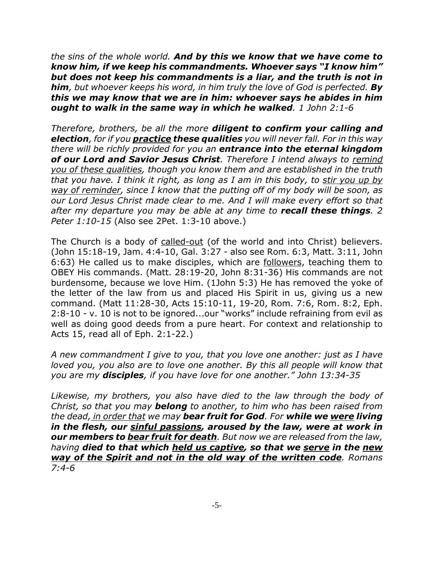*the sins of the whole world. And by this we know that we have come to know him, if we keep his commandments. Whoever says "I know him" but does not keep his commandments is a liar, and the truth is not in him, but whoever keeps his word, in him truly the love of God is perfected. By this we may know that we are in him: whoever says he abides in him ought to walk in the same way in which he walked. 1 John 2:1-6*

*Therefore, brothers, be all the more diligent to confirm your calling and election, for if you practice these qualities you will never fall. For in this way there will be richly provided for you an entrance into the eternal kingdom of our Lord and Savior Jesus Christ. Therefore I intend always to remind you of these qualities, though you know them and are established in the truth that you have. I think it right, as long as I am in this body, to stir you up by way of reminder, since I know that the putting off of my body will be soon, as our Lord Jesus Christ made clear to me. And I will make every effort so that after my departure you may be able at any time to recall these things. 2 Peter 1:10-15* (Also see 2Pet. 1:3-10 above.)

The Church is a body of called-out (of the world and into Christ) believers. (John 15:18-19, Jam. 4:4-10, Gal. 3:27 - also see Rom. 6:3, Matt. 3:11, John 6:63) He called us to make disciples, which are followers, teaching them to OBEY His commands. (Matt. 28:19-20, John 8:31-36) His commands are not burdensome, because we love Him. (1John 5:3) He has removed the yoke of the letter of the law from us and placed His Spirit in us, giving us a new command. (Matt 11:28-30, Acts 15:10-11, 19-20, Rom. 7:6, Rom. 8:2, Eph. 2:8-10 - v. 10 is not to be ignored...our "works" include refraining from evil as well as doing good deeds from a pure heart. For context and relationship to Acts 15, read all of Eph. 2:1-22.)

*A new commandment I give to you, that you love one another: just as I have loved you, you also are to love one another. By this all people will know that you are my disciples, if you have love for one another." John 13:34-35*

*Likewise, my brothers, you also have died to the law through the body of Christ, so that you may belong to another, to him who has been raised from the dead, in order that we may bear fruit for God. For while we were living in the flesh, our sinful passions, aroused by the law, were at work in our members to bear fruit for death. But now we are released from the law, having died to that which held us captive, so that we serve in the new way of the Spirit and not in the old way of the written code. Romans 7:4-6*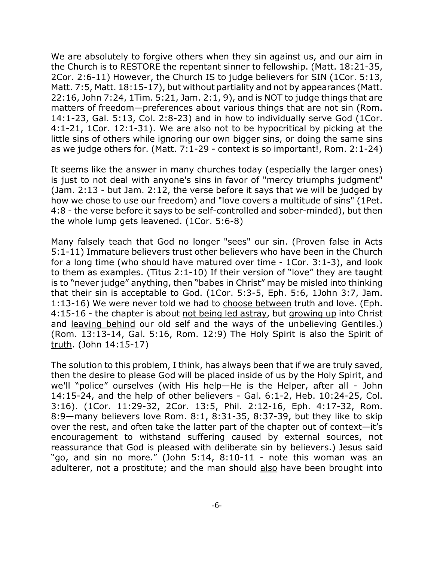We are absolutely to forgive others when they sin against us, and our aim in the Church is to RESTORE the repentant sinner to fellowship. (Matt. 18:21-35, 2Cor. 2:6-11) However, the Church IS to judge believers for SIN (1Cor. 5:13, Matt. 7:5, Matt. 18:15-17), but without partiality and not by appearances (Matt. 22:16, John 7:24, 1Tim. 5:21, Jam. 2:1, 9), and is NOT to judge things that are matters of freedom—preferences about various things that are not sin (Rom. 14:1-23, Gal. 5:13, Col. 2:8-23) and in how to individually serve God (1Cor. 4:1-21, 1Cor. 12:1-31). We are also not to be hypocritical by picking at the little sins of others while ignoring our own bigger sins, or doing the same sins as we judge others for. (Matt. 7:1-29 - context is so important!, Rom. 2:1-24)

It seems like the answer in many churches today (especially the larger ones) is just to not deal with anyone's sins in favor of "mercy triumphs judgment" (Jam. 2:13 - but Jam. 2:12, the verse before it says that we will be judged by how we chose to use our freedom) and "love covers a multitude of sins" (1Pet. 4:8 - the verse before it says to be self-controlled and sober-minded), but then the whole lump gets leavened. (1Cor. 5:6-8)

Many falsely teach that God no longer "sees" our sin. (Proven false in Acts 5:1-11) Immature believers trust other believers who have been in the Church for a long time (who should have matured over time - 1Cor. 3:1-3), and look to them as examples. (Titus 2:1-10) If their version of "love" they are taught is to "never judge" anything, then "babes in Christ" may be misled into thinking that their sin is acceptable to God. (1Cor. 5:3-5, Eph. 5:6, 1John 3:7, Jam. 1:13-16) We were never told we had to choose between truth and love. (Eph. 4:15-16 - the chapter is about not being led astray, but growing up into Christ and leaving behind our old self and the ways of the unbelieving Gentiles.) (Rom. 13:13-14, Gal. 5:16, Rom. 12:9) The Holy Spirit is also the Spirit of truth. (John 14:15-17)

The solution to this problem, I think, has always been that if we are truly saved, then the desire to please God will be placed inside of us by the Holy Spirit, and we'll "police" ourselves (with His help—He is the Helper, after all - John 14:15-24, and the help of other believers - Gal. 6:1-2, Heb. 10:24-25, Col. 3:16). (1Cor. 11:29-32, 2Cor. 13:5, Phil. 2:12-16, Eph. 4:17-32, Rom. 8:9—many believers love Rom. 8:1, 8:31-35, 8:37-39, but they like to skip over the rest, and often take the latter part of the chapter out of context—it's encouragement to withstand suffering caused by external sources, not reassurance that God is pleased with deliberate sin by believers.) Jesus said "go, and sin no more." (John 5:14, 8:10-11 - note this woman was an adulterer, not a prostitute; and the man should also have been brought into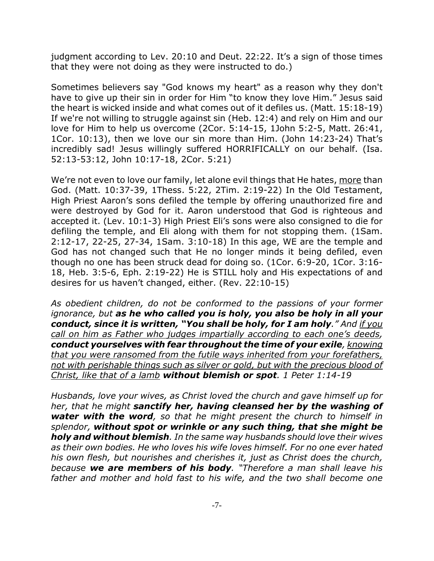judgment according to Lev. 20:10 and Deut. 22:22. It's a sign of those times that they were not doing as they were instructed to do.)

Sometimes believers say "God knows my heart" as a reason why they don't have to give up their sin in order for Him "to know they love Him." Jesus said the heart is wicked inside and what comes out of it defiles us. (Matt. 15:18-19) If we're not willing to struggle against sin (Heb. 12:4) and rely on Him and our love for Him to help us overcome (2Cor. 5:14-15, 1John 5:2-5, Matt. 26:41, 1Cor. 10:13), then we love our sin more than Him. (John 14:23-24) That's incredibly sad! Jesus willingly suffered HORRIFICALLY on our behalf. (Isa. 52:13-53:12, John 10:17-18, 2Cor. 5:21)

We're not even to love our family, let alone evil things that He hates, more than God. (Matt. 10:37-39, 1Thess. 5:22, 2Tim. 2:19-22) In the Old Testament, High Priest Aaron's sons defiled the temple by offering unauthorized fire and were destroyed by God for it. Aaron understood that God is righteous and accepted it. (Lev. 10:1-3) High Priest Eli's sons were also consigned to die for defiling the temple, and Eli along with them for not stopping them. (1Sam. 2:12-17, 22-25, 27-34, 1Sam. 3:10-18) In this age, WE are the temple and God has not changed such that He no longer minds it being defiled, even though no one has been struck dead for doing so. (1Cor. 6:9-20, 1Cor. 3:16- 18, Heb. 3:5-6, Eph. 2:19-22) He is STILL holy and His expectations of and desires for us haven't changed, either. (Rev. 22:10-15)

*As obedient children, do not be conformed to the passions of your former ignorance, but as he who called you is holy, you also be holy in all your conduct, since it is written, "You shall be holy, for I am holy." And if you call on him as Father who judges impartially according to each one's deeds, conduct yourselves with fear throughout the time of your exile, knowing that you were ransomed from the futile ways inherited from your forefathers, not with perishable things such as silver or gold, but with the precious blood of Christ, like that of a lamb without blemish or spot. 1 Peter 1:14-19*

*Husbands, love your wives, as Christ loved the church and gave himself up for her, that he might sanctify her, having cleansed her by the washing of water with the word, so that he might present the church to himself in splendor, without spot or wrinkle or any such thing, that she might be holy and without blemish. In the same way husbands should love their wives as their own bodies. He who loves his wife loves himself. For no one ever hated his own flesh, but nourishes and cherishes it, just as Christ does the church, because we are members of his body. "Therefore a man shall leave his father and mother and hold fast to his wife, and the two shall become one*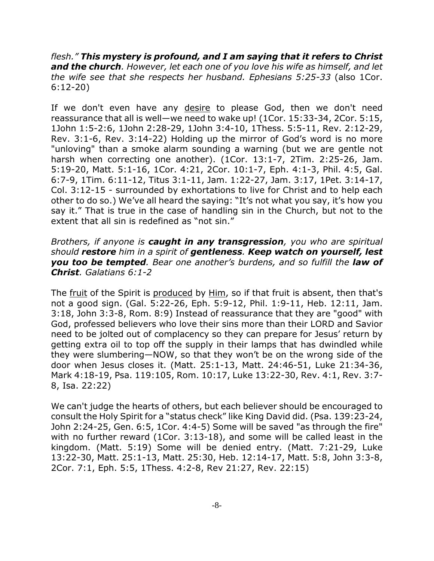*flesh." This mystery is profound, and I am saying that it refers to Christ and the church. However, let each one of you love his wife as himself, and let the wife see that she respects her husband. Ephesians 5:25-33* (also 1Cor. 6:12-20)

If we don't even have any desire to please God, then we don't need reassurance that all is well—we need to wake up! (1Cor. 15:33-34, 2Cor. 5:15, 1John 1:5-2:6, 1John 2:28-29, 1John 3:4-10, 1Thess. 5:5-11, Rev. 2:12-29, Rev. 3:1-6, Rev. 3:14-22) Holding up the mirror of God's word is no more "unloving" than a smoke alarm sounding a warning (but we are gentle not harsh when correcting one another). (1Cor. 13:1-7, 2Tim. 2:25-26, Jam. 5:19-20, Matt. 5:1-16, 1Cor. 4:21, 2Cor. 10:1-7, Eph. 4:1-3, Phil. 4:5, Gal. 6:7-9, 1Tim. 6:11-12, Titus 3:1-11, Jam. 1:22-27, Jam. 3:17, 1Pet. 3:14-17, Col. 3:12-15 - surrounded by exhortations to live for Christ and to help each other to do so.) We've all heard the saying: "It's not what you say, it's how you say it." That is true in the case of handling sin in the Church, but not to the extent that all sin is redefined as "not sin."

*Brothers, if anyone is caught in any transgression, you who are spiritual should restore him in a spirit of gentleness. Keep watch on yourself, lest you too be tempted. Bear one another's burdens, and so fulfill the law of Christ. Galatians 6:1-2*

The fruit of the Spirit is produced by Him, so if that fruit is absent, then that's not a good sign. (Gal. 5:22-26, Eph. 5:9-12, Phil. 1:9-11, Heb. 12:11, Jam. 3:18, John 3:3-8, Rom. 8:9) Instead of reassurance that they are "good" with God, professed believers who love their sins more than their LORD and Savior need to be jolted out of complacency so they can prepare for Jesus' return by getting extra oil to top off the supply in their lamps that has dwindled while they were slumbering—NOW, so that they won't be on the wrong side of the door when Jesus closes it. (Matt. 25:1-13, Matt. 24:46-51, Luke 21:34-36, Mark 4:18-19, Psa. 119:105, Rom. 10:17, Luke 13:22-30, Rev. 4:1, Rev. 3:7- 8, Isa. 22:22)

We can't judge the hearts of others, but each believer should be encouraged to consult the Holy Spirit for a "status check" like King David did. (Psa. 139:23-24, John 2:24-25, Gen. 6:5, 1Cor. 4:4-5) Some will be saved "as through the fire" with no further reward (1Cor. 3:13-18), and some will be called least in the kingdom. (Matt. 5:19) Some will be denied entry. (Matt. 7:21-29, Luke 13:22-30, Matt. 25:1-13, Matt. 25:30, Heb. 12:14-17, Matt. 5:8, John 3:3-8, 2Cor. 7:1, Eph. 5:5, 1Thess. 4:2-8, Rev 21:27, Rev. 22:15)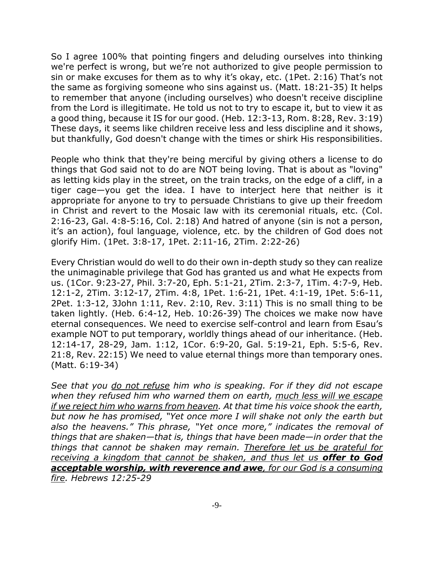So I agree 100% that pointing fingers and deluding ourselves into thinking we're perfect is wrong, but we're not authorized to give people permission to sin or make excuses for them as to why it's okay, etc. (1Pet. 2:16) That's not the same as forgiving someone who sins against us. (Matt. 18:21-35) It helps to remember that anyone (including ourselves) who doesn't receive discipline from the Lord is illegitimate. He told us not to try to escape it, but to view it as a good thing, because it IS for our good. (Heb. 12:3-13, Rom. 8:28, Rev. 3:19) These days, it seems like children receive less and less discipline and it shows, but thankfully, God doesn't change with the times or shirk His responsibilities.

People who think that they're being merciful by giving others a license to do things that God said not to do are NOT being loving. That is about as "loving" as letting kids play in the street, on the train tracks, on the edge of a cliff, in a tiger cage—you get the idea. I have to interject here that neither is it appropriate for anyone to try to persuade Christians to give up their freedom in Christ and revert to the Mosaic law with its ceremonial rituals, etc. (Col. 2:16-23, Gal. 4:8-5:16, Col. 2:18) And hatred of anyone (sin is not a person, it's an action), foul language, violence, etc. by the children of God does not glorify Him. (1Pet. 3:8-17, 1Pet. 2:11-16, 2Tim. 2:22-26)

Every Christian would do well to do their own in-depth study so they can realize the unimaginable privilege that God has granted us and what He expects from us. (1Cor. 9:23-27, Phil. 3:7-20, Eph. 5:1-21, 2Tim. 2:3-7, 1Tim. 4:7-9, Heb. 12:1-2, 2Tim. 3:12-17, 2Tim. 4:8, 1Pet. 1:6-21, 1Pet. 4:1-19, 1Pet. 5:6-11, 2Pet. 1:3-12, 3John 1:11, Rev. 2:10, Rev. 3:11) This is no small thing to be taken lightly. (Heb. 6:4-12, Heb. 10:26-39) The choices we make now have eternal consequences. We need to exercise self-control and learn from Esau's example NOT to put temporary, worldly things ahead of our inheritance. (Heb. 12:14-17, 28-29, Jam. 1:12, 1Cor. 6:9-20, Gal. 5:19-21, Eph. 5:5-6, Rev. 21:8, Rev. 22:15) We need to value eternal things more than temporary ones. (Matt. 6:19-34)

*See that you do not refuse him who is speaking. For if they did not escape when they refused him who warned them on earth, much less will we escape if we reject him who warns from heaven. At that time his voice shook the earth, but now he has promised, "Yet once more I will shake not only the earth but also the heavens." This phrase, "Yet once more," indicates the removal of things that are shaken—that is, things that have been made—in order that the things that cannot be shaken may remain. Therefore let us be grateful for receiving a kingdom that cannot be shaken, and thus let us offer to God acceptable worship, with reverence and awe, for our God is a consuming fire. Hebrews 12:25-29*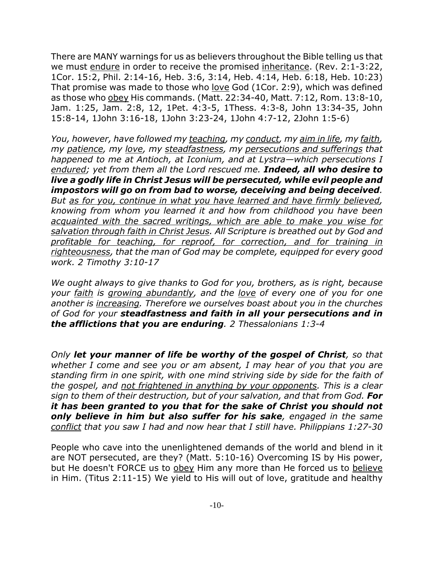There are MANY warnings for us as believers throughout the Bible telling us that we must endure in order to receive the promised inheritance. (Rev. 2:1-3:22, 1Cor. 15:2, Phil. 2:14-16, Heb. 3:6, 3:14, Heb. 4:14, Heb. 6:18, Heb. 10:23) That promise was made to those who love God (1Cor. 2:9), which was defined as those who obey His commands. (Matt. 22:34-40, Matt. 7:12, Rom. 13:8-10, Jam. 1:25, Jam. 2:8, 12, 1Pet. 4:3-5, 1Thess. 4:3-8, John 13:34-35, John 15:8-14, 1John 3:16-18, 1John 3:23-24, 1John 4:7-12, 2John 1:5-6)

*You, however, have followed my teaching, my conduct, my aim in life, my faith, my patience, my love, my steadfastness, my persecutions and sufferings that happened to me at Antioch, at Iconium, and at Lystra—which persecutions I endured; yet from them all the Lord rescued me. Indeed, all who desire to live a godly life in Christ Jesus will be persecuted, while evil people and impostors will go on from bad to worse, deceiving and being deceived. But as for you, continue in what you have learned and have firmly believed, knowing from whom you learned it and how from childhood you have been acquainted with the sacred writings, which are able to make you wise for salvation through faith in Christ Jesus. All Scripture is breathed out by God and profitable for teaching, for reproof, for correction, and for training in righteousness, that the man of God may be complete, equipped for every good work. 2 Timothy 3:10-17*

*We ought always to give thanks to God for you, brothers, as is right, because your faith is growing abundantly, and the love of every one of you for one another is increasing. Therefore we ourselves boast about you in the churches of God for your steadfastness and faith in all your persecutions and in the afflictions that you are enduring. 2 Thessalonians 1:3-4*

*Only let your manner of life be worthy of the gospel of Christ, so that whether I come and see you or am absent, I may hear of you that you are standing firm in one spirit, with one mind striving side by side for the faith of the gospel, and not frightened in anything by your opponents. This is a clear sign to them of their destruction, but of your salvation, and that from God. For it has been granted to you that for the sake of Christ you should not only believe in him but also suffer for his sake, engaged in the same conflict that you saw I had and now hear that I still have. Philippians 1:27-30*

People who cave into the unenlightened demands of the world and blend in it are NOT persecuted, are they? (Matt. 5:10-16) Overcoming IS by His power, but He doesn't FORCE us to obey Him any more than He forced us to believe in Him. (Titus 2:11-15) We yield to His will out of love, gratitude and healthy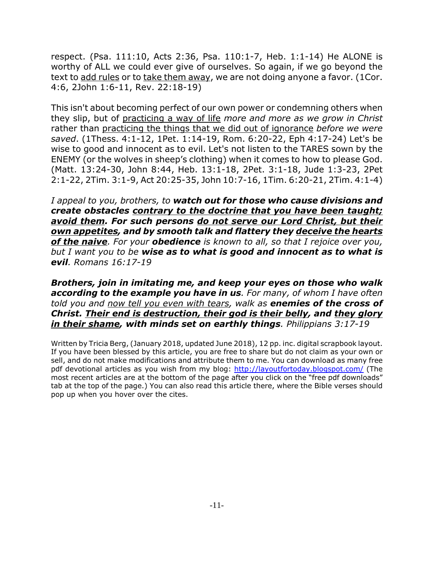respect. (Psa. 111:10, Acts 2:36, Psa. 110:1-7, Heb. 1:1-14) He ALONE is worthy of ALL we could ever give of ourselves. So again, if we go beyond the text to add rules or to take them away, we are not doing anyone a favor. (1Cor. 4:6, 2John 1:6-11, Rev. 22:18-19)

This isn't about becoming perfect of our own power or condemning others when they slip, but of practicing a way of life *more and more as we grow in Christ* rather than practicing the things that we did out of ignorance *before we were saved*. (1Thess. 4:1-12, 1Pet. 1:14-19, Rom. 6:20-22, Eph 4:17-24) Let's be wise to good and innocent as to evil. Let's not listen to the TARES sown by the ENEMY (or the wolves in sheep's clothing) when it comes to how to please God. (Matt. 13:24-30, John 8:44, Heb. 13:1-18, 2Pet. 3:1-18, Jude 1:3-23, 2Pet 2:1-22, 2Tim. 3:1-9, Act 20:25-35, John 10:7-16, 1Tim. 6:20-21, 2Tim. 4:1-4)

*I appeal to you, brothers, to watch out for those who cause divisions and create obstacles contrary to the doctrine that you have been taught; avoid them. For such persons do not serve our Lord Christ, but their own appetites, and by smooth talk and flattery they deceive the hearts of the naive. For your obedience is known to all, so that I rejoice over you, but I want you to be wise as to what is good and innocent as to what is evil. Romans 16:17-19*

*Brothers, join in imitating me, and keep your eyes on those who walk according to the example you have in us. For many, of whom I have often told you and now tell you even with tears, walk as enemies of the cross of Christ. Their end is destruction, their god is their belly, and they glory in their shame, with minds set on earthly things. Philippians 3:17-19*

Written by Tricia Berg, (January 2018, updated June 2018), 12 pp. inc. digital scrapbook layout. If you have been blessed by this article, you are free to share but do not claim as your own or sell, and do not make modifications and attribute them to me. You can download as many free pdf devotional articles as you wish from my blog: http://layoutfortoday.blogspot.com/ (The most recent articles are at the bottom of the page after you click on the "free pdf downloads" tab at the top of the page.) You can also read this article there, where the Bible verses should pop up when you hover over the cites.